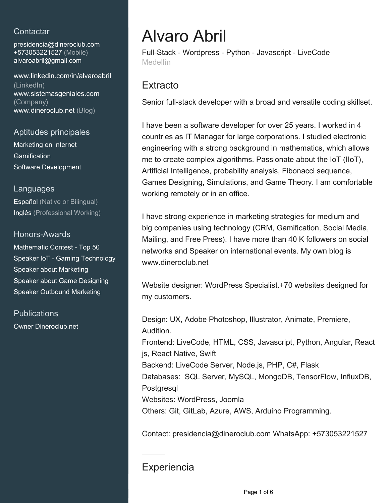# **Contactar**

presidencia@dineroclub.com +573053221527 (Mobile) [alvaroabril@gmail.com](mailto:alvaroabril@gmail.com)

[www.linkedin.com/in/alvaroabril](https://www.linkedin.com/in/alvaroabril?jobid=1234&lipi=urn%3Ali%3Apage%3Ad_jobs_easyapply_pdfgenresume%3BwwS57ajQSEmlJ8%2Bl%2Bf97sw%3D%3D&licu=urn%3Ali%3Acontrol%3Ad_jobs_easyapply_pdfgenresume-v02_profile) [\(LinkedIn\)](https://www.linkedin.com/in/alvaroabril?jobid=1234&lipi=urn%3Ali%3Apage%3Ad_jobs_easyapply_pdfgenresume%3BwwS57ajQSEmlJ8%2Bl%2Bf97sw%3D%3D&licu=urn%3Ali%3Acontrol%3Ad_jobs_easyapply_pdfgenresume-v02_profile) [www.sistemasgeniales.com](http://www.sistemasgeniales.com) [\(Company\)](http://www.sistemasgeniales.com) [www.dineroclub.net \(Blog\)](http://www.dineroclub.net)

# Aptitudes principales

Marketing en Internet **Gamification** Software Development

# Languages

Español (Native or Bilingual) Inglés (Professional Working)

# Honors-Awards

Mathematic Contest - Top 50 Speaker IoT - Gaming Technology Speaker about Marketing Speaker about Game Designing Speaker Outbound Marketing

**Publications** Owner Dineroclub.net

# Alvaro Abril

Full-Stack - Wordpress - Python - Javascript - LiveCode Medellín

# **Extracto**

Senior full-stack developer with a broad and versatile coding skillset.

I have been a software developer for over 25 years. I worked in 4 countries as IT Manager for large corporations. I studied electronic engineering with a strong background in mathematics, which allows me to create complex algorithms. Passionate about the IoT (IIoT), Artificial Intelligence, probability analysis, Fibonacci sequence, Games Designing, Simulations, and Game Theory. I am comfortable working remotely or in an office.

I have strong experience in marketing strategies for medium and big companies using technology (CRM, Gamification, Social Media, Mailing, and Free Press). I have more than 40 K followers on social networks and Speaker on international events. My own blog is www.dineroclub.net

Website designer: WordPress Specialist.+70 websites designed for my customers.

Design: UX, Adobe Photoshop, Illustrator, Animate, Premiere, Audition. Frontend: LiveCode, HTML, CSS, Javascript, Python, Angular, React js, React Native, Swift Backend: LiveCode Server, Node.js, PHP, C#, Flask Databases: SQL Server, MySQL, MongoDB, TensorFlow, InfluxDB, **Postgresgl** Websites: WordPress, Joomla Others: Git, GitLab, Azure, AWS, Arduino Programming.

Contact: presidencia@dineroclub.com WhatsApp: +573053221527

# **Experiencia**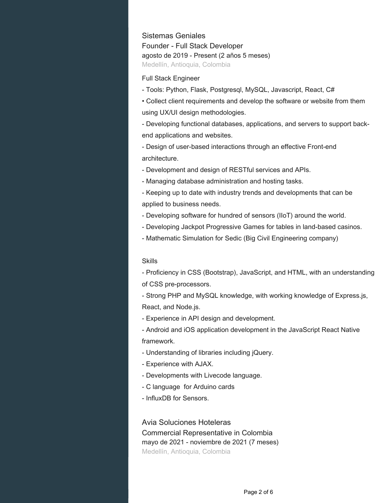#### Sistemas Geniales

Founder - Full Stack Developer agosto de 2019 - Present (2 años 5 meses) Medellín, Antioquia, Colombia

#### Full Stack Engineer

- Tools: Python, Flask, Postgresql, MySQL, Javascript, React, C#

• Collect client requirements and develop the software or website from them using UX/UI design methodologies.

- Developing functional databases, applications, and servers to support backend applications and websites.

- Design of user-based interactions through an effective Front-end architecture.

- Development and design of RESTful services and APIs.

- Managing database administration and hosting tasks.

- Keeping up to date with industry trends and developments that can be applied to business needs.

- Developing software for hundred of sensors (IIoT) around the world.

- Developing Jackpot Progressive Games for tables in land-based casinos.

- Mathematic Simulation for Sedic (Big Civil Engineering company)

#### Skills

- Proficiency in CSS (Bootstrap), JavaScript, and HTML, with an understanding of CSS pre-processors.

- Strong PHP and MySQL knowledge, with working knowledge of Express.js, React, and Node.js.

- Experience in API design and development.

- Android and iOS application development in the JavaScript React Native framework.

- Understanding of libraries including jQuery.
- Experience with AJAX.
- Developments with Livecode language.
- C language for Arduino cards
- InfluxDB for Sensors.

#### Avia Soluciones Hoteleras

Commercial Representative in Colombia mayo de 2021 - noviembre de 2021 (7 meses) Medellín, Antioquia, Colombia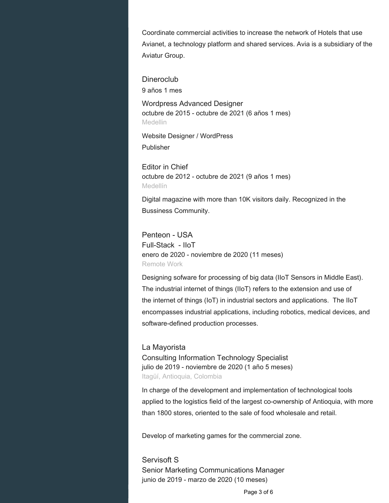Coordinate commercial activities to increase the network of Hotels that use Avianet, a technology platform and shared services. Avia is a subsidiary of the Aviatur Group.

**Dineroclub** 9 años 1 mes

Wordpress Advanced Designer octubre de 2015 - octubre de 2021 (6 años 1 mes) Medellin

Website Designer / WordPress Publisher

Editor in Chief octubre de 2012 - octubre de 2021 (9 años 1 mes) Medellín

Digital magazine with more than 10K visitors daily. Recognized in the Bussiness Community.

Penteon - USA Full-Stack - IIoT enero de 2020 - noviembre de 2020 (11 meses) Remote Work

Designing sofware for processing of big data (IIoT Sensors in Middle East). The industrial internet of things (IIoT) refers to the extension and use of the internet of things (IoT) in industrial sectors and applications. The IIoT encompasses industrial applications, including robotics, medical devices, and software-defined production processes.

La Mayorista Consulting Information Technology Specialist julio de 2019 - noviembre de 2020 (1 año 5 meses) Itagüí, Antioquia, Colombia

In charge of the development and implementation of technological tools applied to the logistics field of the largest co-ownership of Antioquia, with more than 1800 stores, oriented to the sale of food wholesale and retail.

Develop of marketing games for the commercial zone.

Servisoft S Senior Marketing Communications Manager junio de 2019 - marzo de 2020 (10 meses)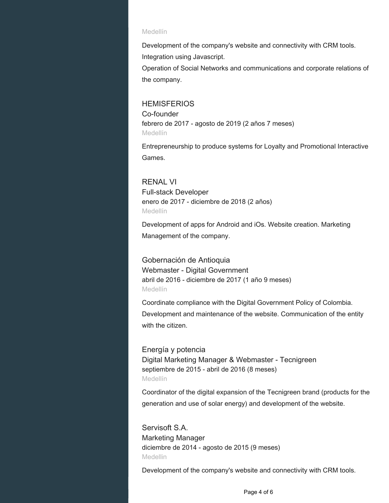#### Medellín

Development of the company's website and connectivity with CRM tools. Integration using Javascript.

Operation of Social Networks and communications and corporate relations of the company.

#### **HEMISFERIOS**

Co-founder febrero de 2017 - agosto de 2019 (2 años 7 meses) Medellín

Entrepreneurship to produce systems for Loyalty and Promotional Interactive Games.

### RENAL VI

Full-stack Developer enero de 2017 - diciembre de 2018 (2 años) Medellín

Development of apps for Android and iOs. Website creation. Marketing Management of the company.

# Gobernación de Antioquia

Webmaster - Digital Government abril de 2016 - diciembre de 2017 (1 año 9 meses) Medellín

Coordinate compliance with the Digital Government Policy of Colombia. Development and maintenance of the website. Communication of the entity with the citizen.

# Energía y potencia

Digital Marketing Manager & Webmaster - Tecnigreen septiembre de 2015 - abril de 2016 (8 meses) Medellín

Coordinator of the digital expansion of the Tecnigreen brand (products for the generation and use of solar energy) and development of the website.

Servisoft S.A. Marketing Manager diciembre de 2014 - agosto de 2015 (9 meses) Medellin

Development of the company's website and connectivity with CRM tools.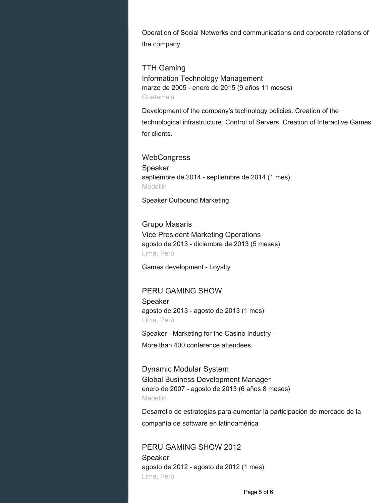Operation of Social Networks and communications and corporate relations of the company.

TTH Gaming Information Technology Management marzo de 2005 - enero de 2015 (9 años 11 meses) Guatemala

Development of the company's technology policies. Creation of the technological infrastructure. Control of Servers. Creation of Interactive Games for clients.

**WebCongress** Speaker septiembre de 2014 - septiembre de 2014 (1 mes) **Medellin** 

Speaker Outbound Marketing

Grupo Masaris Vice President Marketing Operations agosto de 2013 - diciembre de 2013 (5 meses) Lima, Perú

Games development - Loyalty

# PERU GAMING SHOW

Speaker agosto de 2013 - agosto de 2013 (1 mes) Lima, Perú

Speaker - Marketing for the Casino Industry - More than 400 conference attendees

Dynamic Modular System Global Business Development Manager enero de 2007 - agosto de 2013 (6 años 8 meses) Medellin

Desarrollo de estrategias para aumentar la participación de mercado de la compañía de software en latinoamérica

PERU GAMING SHOW 2012 Speaker agosto de 2012 - agosto de 2012 (1 mes) Lima, Perú